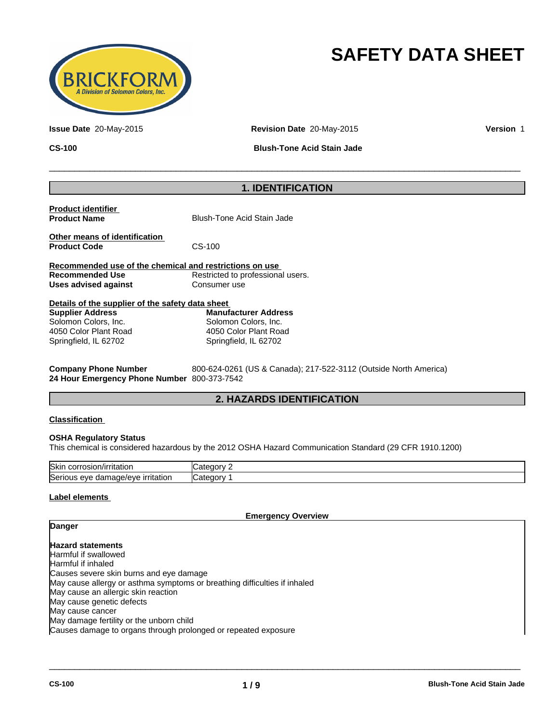

# **SAFETY DATA SHEET**

**Issue Date** 20-May-2015 **Revision Date** 20-May-2015 **Version** 1

**CS-100 Blush-Tone Acid Stain Jade**

 $\overline{\phantom{a}}$  ,  $\overline{\phantom{a}}$  ,  $\overline{\phantom{a}}$  ,  $\overline{\phantom{a}}$  ,  $\overline{\phantom{a}}$  ,  $\overline{\phantom{a}}$  ,  $\overline{\phantom{a}}$  ,  $\overline{\phantom{a}}$  ,  $\overline{\phantom{a}}$  ,  $\overline{\phantom{a}}$  ,  $\overline{\phantom{a}}$  ,  $\overline{\phantom{a}}$  ,  $\overline{\phantom{a}}$  ,  $\overline{\phantom{a}}$  ,  $\overline{\phantom{a}}$  ,  $\overline{\phantom{a}}$ 

## **1. IDENTIFICATION**

| <b>Product identifier</b><br><b>Product Name</b>        | Blush-Tone Acid Stain Jade        |  |  |
|---------------------------------------------------------|-----------------------------------|--|--|
| Other means of identification<br><b>Product Code</b>    | $CS-100$                          |  |  |
| Recommended use of the chemical and restrictions on use |                                   |  |  |
| <b>Recommended Use</b>                                  | Restricted to professional users. |  |  |
| Uses advised against                                    | Consumer use                      |  |  |
| Details of the supplier of the safety data sheet        |                                   |  |  |

| <b>Supplier Address</b> | <b>Manufacturer Address</b> |  |
|-------------------------|-----------------------------|--|
| Solomon Colors, Inc.    | Solomon Colors, Inc.        |  |
| 4050 Color Plant Road   | 4050 Color Plant Road       |  |
| Springfield, IL 62702   | Springfield, IL 62702       |  |

**Company Phone Number** 800-624-0261 (US & Canada); 217-522-3112 (Outside North America) **24 Hour Emergency Phone Number** 800-373-7542

### **2. HAZARDS IDENTIFICATION**

#### **Classification**

#### **OSHA Regulatory Status**

This chemical is considered hazardous by the 2012 OSHA Hazard Communication Standard (29 CFR 1910.1200)

| Skir<br>. .<br>n/irritation<br>corrosion                                             | .<br>n,                            |
|--------------------------------------------------------------------------------------|------------------------------------|
| $\sim$<br><u>irritation</u><br>aamade/eve a<br><b>Serio</b><br>eve<br>11 I C<br>JUJ. | $\sim$<br>$-0.000$<br><b>ICate</b> |

#### **Label elements**

**Danger**

**Emergency Overview**

 $\overline{\phantom{a}}$  ,  $\overline{\phantom{a}}$  ,  $\overline{\phantom{a}}$  ,  $\overline{\phantom{a}}$  ,  $\overline{\phantom{a}}$  ,  $\overline{\phantom{a}}$  ,  $\overline{\phantom{a}}$  ,  $\overline{\phantom{a}}$  ,  $\overline{\phantom{a}}$  ,  $\overline{\phantom{a}}$  ,  $\overline{\phantom{a}}$  ,  $\overline{\phantom{a}}$  ,  $\overline{\phantom{a}}$  ,  $\overline{\phantom{a}}$  ,  $\overline{\phantom{a}}$  ,  $\overline{\phantom{a}}$ 

**Hazard statements** Harmful if swallowed Harmful if inhaled Causes severe skin burns and eye damage May cause allergy or asthma symptoms or breathing difficulties if inhaled May cause an allergic skin reaction May cause genetic defects May cause cancer May damage fertility or the unborn child Causes damage to organs through prolonged or repeated exposure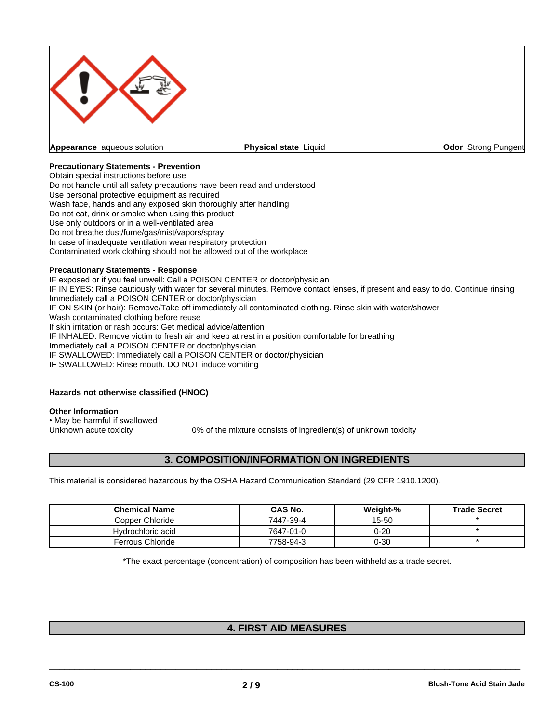

**Physical state Liquid Community Constrainers** Community Constrainers Pungent

#### **Precautionary Statements - Prevention**

Obtain special instructions before use Do not handle until all safety precautions have been read and understood Use personal protective equipment as required Wash face, hands and any exposed skin thoroughly after handling Do not eat, drink or smoke when using this product Use only outdoors or in a well-ventilated area Do not breathe dust/fume/gas/mist/vapors/spray In case of inadequate ventilation wear respiratory protection Contaminated work clothing should not be allowed out of the workplace

#### **Precautionary Statements - Response**

IF exposed or if you feel unwell: Call a POISON CENTER or doctor/physician IF IN EYES: Rinse cautiously with water for several minutes. Remove contact lenses, if present and easy to do. Continue rinsing Immediately call a POISON CENTER or doctor/physician IF ON SKIN (or hair): Remove/Take off immediately all contaminated clothing. Rinse skin with water/shower Wash contaminated clothing before reuse If skin irritation or rash occurs: Get medical advice/attention IF INHALED: Remove victim to fresh air and keep at rest in a position comfortable for breathing Immediately call a POISON CENTER or doctor/physician IF SWALLOWED: Immediately call a POISON CENTER or doctor/physician IF SWALLOWED: Rinse mouth. DO NOT induce vomiting

#### **Hazards not otherwise classified (HNOC)**

#### **Other Information**

• May be harmful if swallowed

Unknown acute toxicity 0% of the mixture consists of ingredient(s) of unknown toxicity

### **3. COMPOSITION/INFORMATION ON INGREDIENTS**

This material is considered hazardous by the OSHA Hazard Communication Standard (29 CFR 1910.1200).

| <b>Chemical Name</b> | <b>CAS No.</b> | Weight-% | <b>Trade Secret</b> |
|----------------------|----------------|----------|---------------------|
| Copper Chloride      | 7447-39-4      | 15-50    |                     |
| Hydrochloric acid    | 7647-01-0      | 0-20     |                     |
| Ferrous Chloride     | 7758-94-3      | 0-30     |                     |

\*The exact percentage (concentration) of composition has been withheld as a trade secret.

## **4. FIRST AID MEASURES**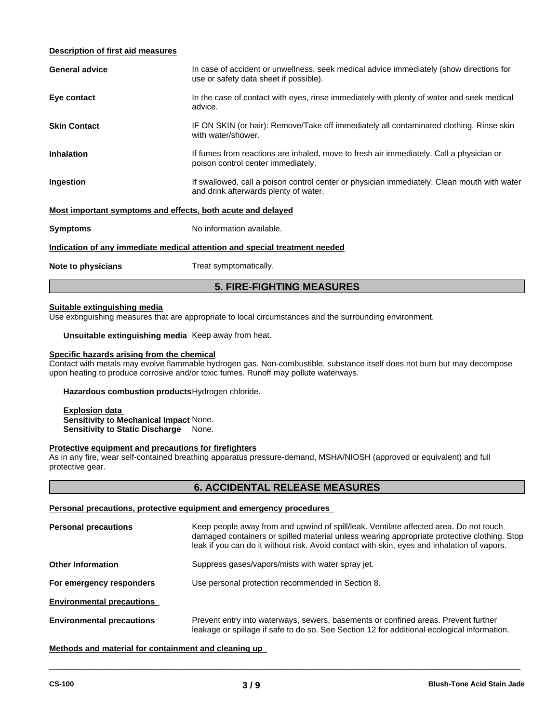#### **Description of first aid measures**

|                                                             | <b>5. FIRE-FIGHTING MEASURES</b>                                                                                                     |  |  |
|-------------------------------------------------------------|--------------------------------------------------------------------------------------------------------------------------------------|--|--|
| Note to physicians                                          | Treat symptomatically.                                                                                                               |  |  |
|                                                             | Indication of any immediate medical attention and special treatment needed                                                           |  |  |
| <b>Symptoms</b>                                             | No information available.                                                                                                            |  |  |
| Most important symptoms and effects, both acute and delayed |                                                                                                                                      |  |  |
| Ingestion                                                   | If swallowed, call a poison control center or physician immediately. Clean mouth with water<br>and drink afterwards plenty of water. |  |  |
| <b>Inhalation</b>                                           | If fumes from reactions are inhaled, move to fresh air immediately. Call a physician or<br>poison control center immediately.        |  |  |
| <b>Skin Contact</b>                                         | IF ON SKIN (or hair): Remove/Take off immediately all contaminated clothing. Rinse skin<br>with water/shower.                        |  |  |
| Eye contact                                                 | In the case of contact with eyes, rinse immediately with plenty of water and seek medical<br>advice.                                 |  |  |
| <b>General advice</b>                                       | In case of accident or unwellness, seek medical advice immediately (show directions for<br>use or safety data sheet if possible).    |  |  |
|                                                             |                                                                                                                                      |  |  |

#### **Suitable extinguishing media**

Use extinguishing measures that are appropriate to local circumstances and the surrounding environment.

**Unsuitable extinguishing media** Keep away from heat.

# **Specific hazards arising from the chemical**

Contact with metals may evolve flammable hydrogen gas. Non-combustible, substance itself does not burn but may decompose upon heating to produce corrosive and/or toxic fumes. Runoff may pollute waterways.

**Hazardous combustion products**Hydrogen chloride.

**Explosion data Sensitivity to Mechanical Impact** None. **Sensitivity to Static Discharge** None.

#### **Protective equipment and precautions for firefighters**

As in any fire, wear self-contained breathing apparatus pressure-demand, MSHA/NIOSH (approved or equivalent) and full protective gear.

### **6. ACCIDENTAL RELEASE MEASURES**

#### **Personal precautions, protective equipment and emergency procedures**

| <b>Personal precautions</b>      | Keep people away from and upwind of spill/leak. Ventilate affected area. Do not touch<br>damaged containers or spilled material unless wearing appropriate protective clothing. Stop<br>leak if you can do it without risk. Avoid contact with skin, eyes and inhalation of vapors. |  |
|----------------------------------|-------------------------------------------------------------------------------------------------------------------------------------------------------------------------------------------------------------------------------------------------------------------------------------|--|
| <b>Other Information</b>         | Suppress gases/vapors/mists with water spray jet.                                                                                                                                                                                                                                   |  |
| For emergency responders         | Use personal protection recommended in Section 8.                                                                                                                                                                                                                                   |  |
| <b>Environmental precautions</b> |                                                                                                                                                                                                                                                                                     |  |
| <b>Environmental precautions</b> | Prevent entry into waterways, sewers, basements or confined areas. Prevent further<br>leakage or spillage if safe to do so. See Section 12 for additional ecological information.                                                                                                   |  |

 $\overline{\phantom{a}}$  ,  $\overline{\phantom{a}}$  ,  $\overline{\phantom{a}}$  ,  $\overline{\phantom{a}}$  ,  $\overline{\phantom{a}}$  ,  $\overline{\phantom{a}}$  ,  $\overline{\phantom{a}}$  ,  $\overline{\phantom{a}}$  ,  $\overline{\phantom{a}}$  ,  $\overline{\phantom{a}}$  ,  $\overline{\phantom{a}}$  ,  $\overline{\phantom{a}}$  ,  $\overline{\phantom{a}}$  ,  $\overline{\phantom{a}}$  ,  $\overline{\phantom{a}}$  ,  $\overline{\phantom{a}}$ 

**Methods and material for containment and cleaning up**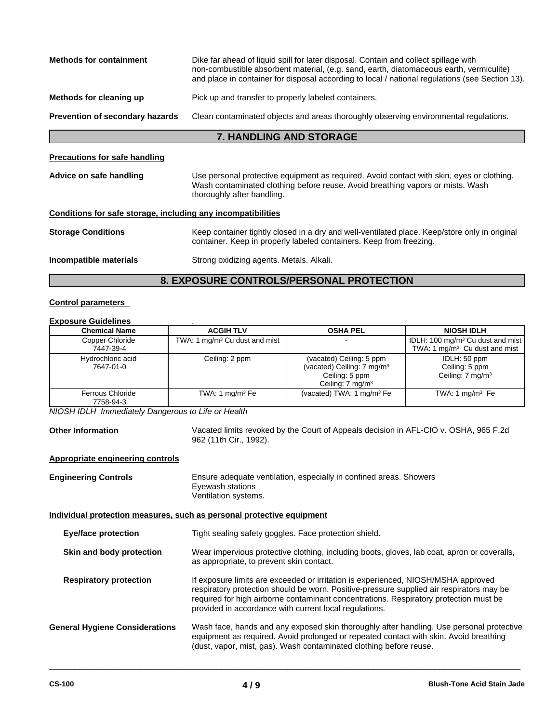| <b>Methods for containment</b><br>Dike far ahead of liquid spill for later disposal. Contain and collect spillage with<br>non-combustible absorbent material, (e.g. sand, earth, diatomaceous earth, vermiculite) |                                                                                                                                                                                                           |  |
|-------------------------------------------------------------------------------------------------------------------------------------------------------------------------------------------------------------------|-----------------------------------------------------------------------------------------------------------------------------------------------------------------------------------------------------------|--|
|                                                                                                                                                                                                                   | and place in container for disposal according to local / national regulations (see Section 13).                                                                                                           |  |
| Methods for cleaning up                                                                                                                                                                                           | Pick up and transfer to properly labeled containers.                                                                                                                                                      |  |
| <b>Prevention of secondary hazards</b>                                                                                                                                                                            | Clean contaminated objects and areas thoroughly observing environmental regulations.                                                                                                                      |  |
|                                                                                                                                                                                                                   | <b>7. HANDLING AND STORAGE</b>                                                                                                                                                                            |  |
| <b>Precautions for safe handling</b>                                                                                                                                                                              |                                                                                                                                                                                                           |  |
| Advice on safe handling                                                                                                                                                                                           | Use personal protective equipment as required. Avoid contact with skin, eyes or clothing.<br>Wash contaminated clothing before reuse. Avoid breathing vapors or mists. Wash<br>thoroughly after handling. |  |
| Conditions for safe storage, including any incompatibilities                                                                                                                                                      |                                                                                                                                                                                                           |  |
| <b>Storage Conditions</b>                                                                                                                                                                                         | Keep container tightly closed in a dry and well-ventilated place. Keep/store only in original<br>container. Keep in properly labeled containers. Keep from freezing.                                      |  |
| Incompatible materials                                                                                                                                                                                            | Strong oxidizing agents. Metals. Alkali.                                                                                                                                                                  |  |

# **8. EXPOSURE CONTROLS/PERSONAL PROTECTION**

#### **Control parameters**

#### **Exposure Guidelines** .

| <b>Chemical Name</b>           | <b>ACGIH TLV</b>                          | <b>OSHA PEL</b>                                                                                                     | <b>NIOSH IDLH</b>                                                                         |
|--------------------------------|-------------------------------------------|---------------------------------------------------------------------------------------------------------------------|-------------------------------------------------------------------------------------------|
| Copper Chloride<br>7447-39-4   | TWA: 1 mg/m <sup>3</sup> Cu dust and mist |                                                                                                                     | IDLH: 100 mg/m <sup>3</sup> Cu dust and mist<br>TWA: 1 mg/m <sup>3</sup> Cu dust and mist |
| Hydrochloric acid<br>7647-01-0 | Ceiling: 2 ppm                            | (vacated) Ceiling: 5 ppm<br>(vacated) Ceiling: 7 mg/m <sup>3</sup><br>Ceiling: 5 ppm<br>Ceiling: $7 \text{ mg/m}^3$ | IDLH: 50 ppm<br>Ceiling: 5 ppm<br>Ceiling: 7 mg/m <sup>3</sup>                            |
| Ferrous Chloride<br>7758-94-3  | TWA: 1 $mq/m3 Fe$                         | (vacated) TWA: 1 mg/m <sup>3</sup> Fe                                                                               | TWA: 1 mg/m $3$ Fe                                                                        |

*NIOSH IDLH Immediately Dangerous to Life or Health*

**Other Information** Vacated limits revoked by the Court of Appeals decision in AFL-CIO v. OSHA, 965 F.2d 962 (11th Cir., 1992).

 $\overline{\phantom{a}}$  ,  $\overline{\phantom{a}}$  ,  $\overline{\phantom{a}}$  ,  $\overline{\phantom{a}}$  ,  $\overline{\phantom{a}}$  ,  $\overline{\phantom{a}}$  ,  $\overline{\phantom{a}}$  ,  $\overline{\phantom{a}}$  ,  $\overline{\phantom{a}}$  ,  $\overline{\phantom{a}}$  ,  $\overline{\phantom{a}}$  ,  $\overline{\phantom{a}}$  ,  $\overline{\phantom{a}}$  ,  $\overline{\phantom{a}}$  ,  $\overline{\phantom{a}}$  ,  $\overline{\phantom{a}}$ 

#### **Appropriate engineering controls**

| <b>Engineering Controls</b>           | Ensure adequate ventilation, especially in confined areas. Showers<br>Eyewash stations<br>Ventilation systems.                                                                                                                                                                                                                   |  |
|---------------------------------------|----------------------------------------------------------------------------------------------------------------------------------------------------------------------------------------------------------------------------------------------------------------------------------------------------------------------------------|--|
|                                       | Individual protection measures, such as personal protective equipment                                                                                                                                                                                                                                                            |  |
| <b>Eye/face protection</b>            | Tight sealing safety goggles. Face protection shield.                                                                                                                                                                                                                                                                            |  |
| Skin and body protection              | Wear impervious protective clothing, including boots, gloves, lab coat, apron or coveralls,<br>as appropriate, to prevent skin contact.                                                                                                                                                                                          |  |
| <b>Respiratory protection</b>         | If exposure limits are exceeded or irritation is experienced, NIOSH/MSHA approved<br>respiratory protection should be worn. Positive-pressure supplied air respirators may be<br>required for high airborne contaminant concentrations. Respiratory protection must be<br>provided in accordance with current local regulations. |  |
| <b>General Hygiene Considerations</b> | Wash face, hands and any exposed skin thoroughly after handling. Use personal protective<br>equipment as required. Avoid prolonged or repeated contact with skin. Avoid breathing<br>(dust, vapor, mist, gas). Wash contaminated clothing before reuse.                                                                          |  |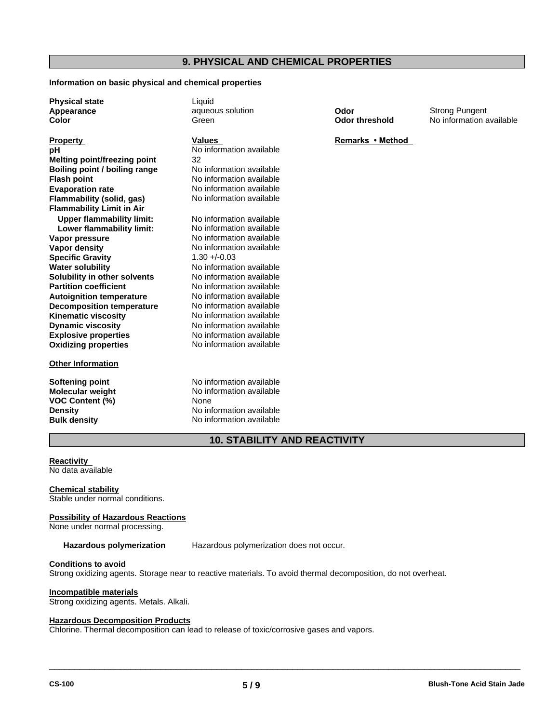### **9. PHYSICAL AND CHEMICAL PROPERTIES**

#### **Information on basic physical and chemical properties**

**Physical state** Liquid

**Explosive properties** No information available **Oxidizing properties** No information available **Melting point/freezing point** 32 **Boiling point / boiling range** No information available **Flash point**<br> **Evaporation rate**<br> **No information available**<br>
No information available **Flammability (solid, gas) Flammability Limit in Air Upper flammability limit:** No information available **Lower flammability limit:** No information available **Vapor pressure** No information available **Vapor density** No information available **Specific Gravity** 1.30 +/-0.03 **Water solubility** No information available **Solubility in other solvents** No information available **Partition coefficient** No information available **Autoignition temperature Decomposition temperature** No information available **Kinematic viscosity** No information available **Dynamic viscosity**

#### **Other Information**

**Molecular weight** No information and No information and No information and No information and No information available neutral No information and No information available neutral No information and No information and No i **VOC Content (%)** 

**No information available** No information available<br>No information available

No information available No information available

**Softening point No information available**<br> **Molecular weight No information available Density** No information available **Bulk density** No information available

**Appearance aqueous solution Odor Color Strong Pungent Color** Strong Pungent **Color Color Color Color Color Color Color Color Color Color Color Color Color Color Color Color Color Co** 

**Color Color threshold** No information available

# **Property**<br> **Remarks** • Method<br> **Remarks** • Method<br> **Remarks** • Method<br> **Remarks** • Method

### **10. STABILITY AND REACTIVITY**

#### **Reactivity**

No data available

**Chemical stability** Stable under normal conditions.

#### **Possibility of Hazardous Reactions**

None under normal processing.

**Hazardous polymerization** Hazardous polymerization does not occur.

#### **Conditions to avoid**

Strong oxidizing agents. Storage near to reactive materials. To avoid thermal decomposition, do not overheat.

#### **Incompatible materials**

Strong oxidizing agents. Metals. Alkali.

#### **Hazardous Decomposition Products**

Chlorine. Thermal decomposition can lead to release of toxic/corrosive gases and vapors.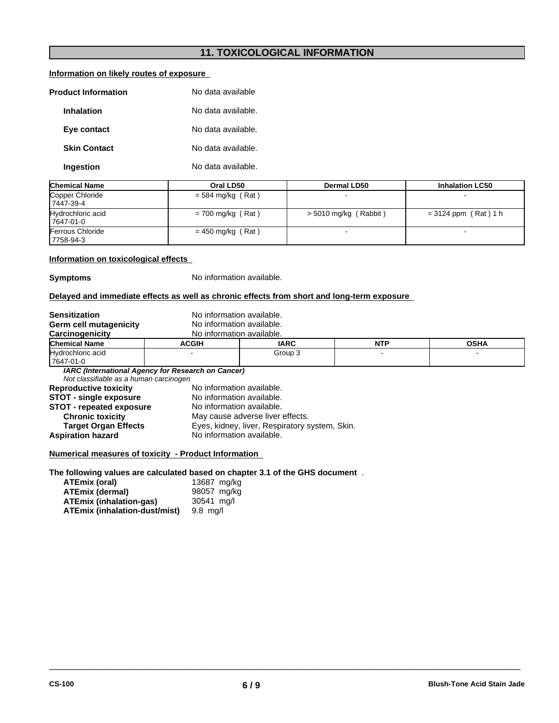# **11. TOXICOLOGICAL INFORMATION**

### **Information on likely routes of exposure**

| <b>Product Information</b> | No data available  |
|----------------------------|--------------------|
| <b>Inhalation</b>          | No data available. |
| Eye contact                | No data available. |
| <b>Skin Contact</b>        | No data available. |
| Ingestion                  | No data available. |

| <b>Chemical Name</b>                 | Oral LD50           | Dermal LD50             | <b>Inhalation LC50</b> |
|--------------------------------------|---------------------|-------------------------|------------------------|
| Copper Chloride<br>17447-39-4        | $=$ 584 mg/kg (Rat) | -                       |                        |
| Hydrochloric acid<br>7647-01-0       | $= 700$ mg/kg (Rat) | $>$ 5010 mg/kg (Rabbit) | $= 3124$ ppm (Rat) 1 h |
| <b>Ferrous Chloride</b><br>7758-94-3 | $= 450$ mg/kg (Rat) |                         |                        |

#### **Information on toxicological effects**

#### **Symptoms**

| No information available |  |
|--------------------------|--|
|--------------------------|--|

#### **Delayed and immediate effects as well as chronic effects from short and long-term exposure**

| <b>Sensitization</b>                   | No information available.                          |                                                |            |             |
|----------------------------------------|----------------------------------------------------|------------------------------------------------|------------|-------------|
| Germ cell mutagenicity                 | No information available.                          |                                                |            |             |
| Carcinogenicity                        | No information available.                          |                                                |            |             |
| <b>Chemical Name</b>                   | <b>ACGIH</b>                                       | <b>IARC</b>                                    | <b>NTP</b> | <b>OSHA</b> |
| Hydrochloric acid<br>7647-01-0         |                                                    | Group 3                                        |            |             |
| Not classifiable as a human carcinogen | IARC (International Agency for Research on Cancer) |                                                |            |             |
| <b>Reproductive toxicity</b>           | No information available.                          |                                                |            |             |
| <b>STOT - single exposure</b>          | No information available.                          |                                                |            |             |
| <b>STOT - repeated exposure</b>        | No information available.                          |                                                |            |             |
| <b>Chronic toxicity</b>                | May cause adverse liver effects.                   |                                                |            |             |
| <b>Target Organ Effects</b>            |                                                    | Eyes, kidney, liver, Respiratory system, Skin. |            |             |
| <b>Aspiration hazard</b>               | No information available.                          |                                                |            |             |

#### **The following values are calculated based on chapter 3.1 of the GHS document** .

| ATEmix (oral)                  | 13687 mg/kg |
|--------------------------------|-------------|
| ATEmix (dermal)                | 98057 mg/kg |
| <b>ATEmix (inhalation-gas)</b> | 30541 mg/l  |
| ATEmix (inhalation-dust/mist)  | 9.8 ma/l    |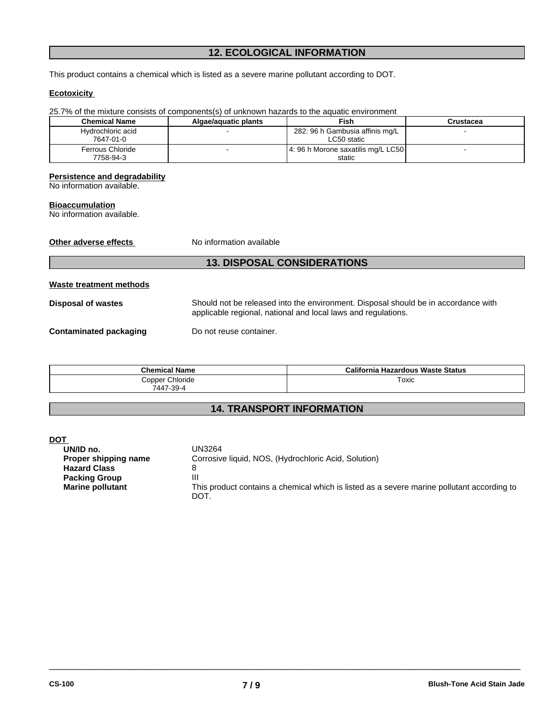# **12. ECOLOGICAL INFORMATION**

This product contains a chemical which is listed as a severe marine pollutant according to DOT.

#### **Ecotoxicity**

| 25.7% of the mixture consists of components(s) of unknown hazards to the aquatic environment                             |                          |                                                |           |
|--------------------------------------------------------------------------------------------------------------------------|--------------------------|------------------------------------------------|-----------|
| <b>Chemical Name</b>                                                                                                     | Algae/aquatic plants     | <b>Fish</b>                                    | Crustacea |
| Hydrochloric acid<br>7647-01-0                                                                                           |                          | 282: 96 h Gambusia affinis mg/L<br>LC50 static |           |
| Ferrous Chloride<br>7758-94-3                                                                                            |                          | 4: 96 h Morone saxatilis mg/L LC50<br>static   |           |
| <b>Persistence and degradability</b><br>No information available.<br><b>Bioaccumulation</b><br>No information available. |                          |                                                |           |
| Other adverse effects                                                                                                    | No information available |                                                |           |
|                                                                                                                          |                          | <b>13. DISPOSAL CONSIDERATIONS</b>             |           |

| Waste treatment methods |                                                                                                                                                     |
|-------------------------|-----------------------------------------------------------------------------------------------------------------------------------------------------|
| Disposal of wastes      | Should not be released into the environment. Disposal should be in accordance with<br>applicable regional, national and local laws and regulations. |
| Contaminated packaging  | Do not reuse container.                                                                                                                             |

| <b>Chemical Name</b>         | California Hazardous Waste Status |
|------------------------------|-----------------------------------|
| Copper Chloride<br>7447-39-4 | Toxic                             |

# **14. TRANSPORT INFORMATION**

| . .                     |                                                                                                    |
|-------------------------|----------------------------------------------------------------------------------------------------|
| UN/ID no.               | UN3264                                                                                             |
| Proper shipping name    | Corrosive liquid, NOS, (Hydrochloric Acid, Solution)                                               |
| <b>Hazard Class</b>     |                                                                                                    |
| <b>Packing Group</b>    | Ш                                                                                                  |
| <b>Marine pollutant</b> | This product contains a chemical which is listed as a severe marine pollutant according to<br>DOT. |
|                         |                                                                                                    |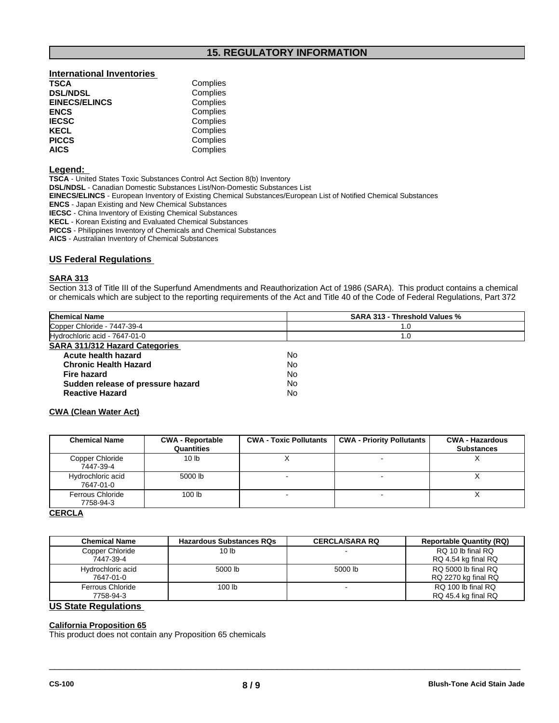## **15. REGULATORY INFORMATION**

# **International Inventories TSCA** Complies<br> **DSL/NDSL** Complies

| <b>EINECS/ELINCS</b> | Complies |
|----------------------|----------|
| <b>ENCS</b>          | Complies |
| <b>IECSC</b>         | Complies |
| <b>KECL</b>          | Complies |
| <b>PICCS</b>         | Complies |
| <b>AICS</b>          | Complies |

#### **Legend:**

**TSCA** - United States Toxic Substances Control Act Section 8(b) Inventory

**DSL/NDSL** - Canadian Domestic Substances List/Non-Domestic Substances List

**Complies** 

**EINECS/ELINCS** - European Inventory of Existing Chemical Substances/European List of Notified Chemical Substances

**ENCS** - Japan Existing and New Chemical Substances

**IECSC** - China Inventory of Existing Chemical Substances

**KECL** - Korean Existing and Evaluated Chemical Substances

**PICCS** - Philippines Inventory of Chemicals and Chemical Substances

**AICS** - Australian Inventory of Chemical Substances

#### **US Federal Regulations**

#### **SARA 313**

Section 313 of Title III of the Superfund Amendments and Reauthorization Act of 1986 (SARA). This product contains a chemical or chemicals which are subject to the reporting requirements of the Act and Title 40 of the Code of Federal Regulations, Part 372

| <b>Chemical Name</b>                  | <b>SARA 313 - Threshold Values %</b> |
|---------------------------------------|--------------------------------------|
| Copper Chloride - 7447-39-4           | 1.0                                  |
| Hydrochloric acid - 7647-01-0         | 1.0                                  |
| <b>SARA 311/312 Hazard Categories</b> |                                      |
| Acute health hazard                   | No                                   |
| <b>Chronic Health Hazard</b>          | No                                   |
| Fire hazard                           | No                                   |
| Sudden release of pressure hazard     | No                                   |
| <b>Reactive Hazard</b>                | No                                   |

#### **CWA (Clean Water Act)**

| <b>Chemical Name</b>           | <b>CWA - Reportable</b><br>Quantities | <b>CWA - Toxic Pollutants</b> | <b>CWA - Priority Pollutants</b> | <b>CWA - Hazardous</b><br><b>Substances</b> |
|--------------------------------|---------------------------------------|-------------------------------|----------------------------------|---------------------------------------------|
| Copper Chloride<br>7447-39-4   | 10 <sub>lb</sub>                      |                               |                                  | $\lambda$                                   |
| Hydrochloric acid<br>7647-01-0 | 5000 lb                               |                               |                                  |                                             |
| Ferrous Chloride<br>7758-94-3  | 100 <sub>lb</sub>                     |                               |                                  |                                             |

#### **CERCLA**

| <b>Chemical Name</b>                 | <b>Hazardous Substances RQs</b> | <b>CERCLA/SARA RQ</b> | <b>Reportable Quantity (RQ)</b>            |
|--------------------------------------|---------------------------------|-----------------------|--------------------------------------------|
| Copper Chloride<br>7447-39-4         | 10 lb                           |                       | RQ 10 lb final RQ<br>RQ 4.54 kg final RQ   |
| Hydrochloric acid<br>7647-01-0       | 5000 lb                         | 5000 lb               | RO 5000 lb final RO<br>RQ 2270 kg final RQ |
| <b>Ferrous Chloride</b><br>7758-94-3 | 100 lb                          |                       | RQ 100 lb final RQ<br>RQ 45.4 kg final RQ  |
| <b>US State Regulations</b>          |                                 |                       |                                            |

 $\overline{\phantom{a}}$  ,  $\overline{\phantom{a}}$  ,  $\overline{\phantom{a}}$  ,  $\overline{\phantom{a}}$  ,  $\overline{\phantom{a}}$  ,  $\overline{\phantom{a}}$  ,  $\overline{\phantom{a}}$  ,  $\overline{\phantom{a}}$  ,  $\overline{\phantom{a}}$  ,  $\overline{\phantom{a}}$  ,  $\overline{\phantom{a}}$  ,  $\overline{\phantom{a}}$  ,  $\overline{\phantom{a}}$  ,  $\overline{\phantom{a}}$  ,  $\overline{\phantom{a}}$  ,  $\overline{\phantom{a}}$ 

# **California Proposition 65**

This product does not contain any Proposition 65 chemicals